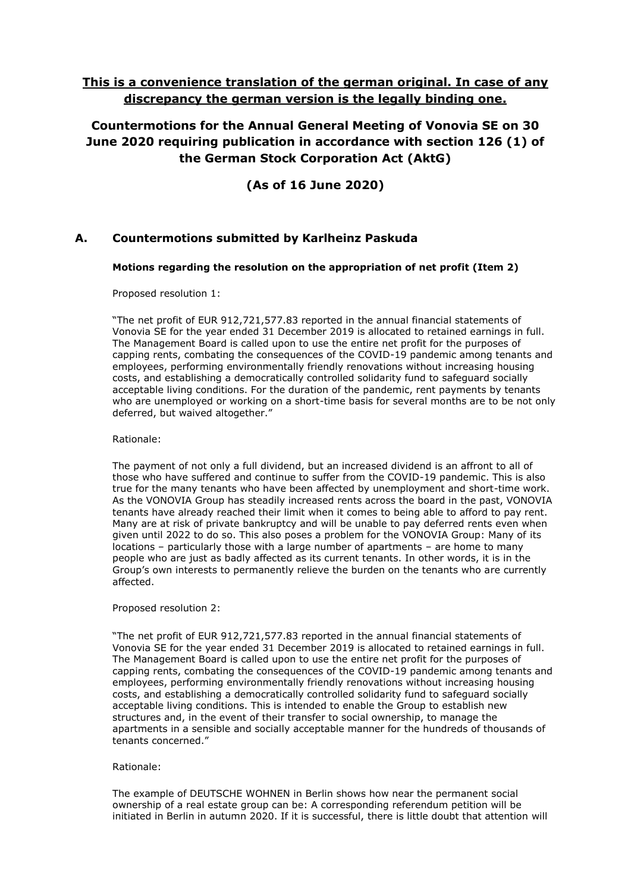# **This is a convenience translation of the german original. In case of any discrepancy the german version is the legally binding one.**

**Countermotions for the Annual General Meeting of Vonovia SE on 30 June 2020 requiring publication in accordance with section 126 (1) of the German Stock Corporation Act (AktG)**

# **(As of 16 June 2020)**

# **A. Countermotions submitted by Karlheinz Paskuda**

## **Motions regarding the resolution on the appropriation of net profit (Item 2)**

Proposed resolution 1:

"The net profit of EUR 912,721,577.83 reported in the annual financial statements of Vonovia SE for the year ended 31 December 2019 is allocated to retained earnings in full. The Management Board is called upon to use the entire net profit for the purposes of capping rents, combating the consequences of the COVID-19 pandemic among tenants and employees, performing environmentally friendly renovations without increasing housing costs, and establishing a democratically controlled solidarity fund to safeguard socially acceptable living conditions. For the duration of the pandemic, rent payments by tenants who are unemployed or working on a short-time basis for several months are to be not only deferred, but waived altogether."

Rationale:

The payment of not only a full dividend, but an increased dividend is an affront to all of those who have suffered and continue to suffer from the COVID-19 pandemic. This is also true for the many tenants who have been affected by unemployment and short-time work. As the VONOVIA Group has steadily increased rents across the board in the past, VONOVIA tenants have already reached their limit when it comes to being able to afford to pay rent. Many are at risk of private bankruptcy and will be unable to pay deferred rents even when given until 2022 to do so. This also poses a problem for the VONOVIA Group: Many of its locations – particularly those with a large number of apartments – are home to many people who are just as badly affected as its current tenants. In other words, it is in the Group's own interests to permanently relieve the burden on the tenants who are currently affected.

Proposed resolution 2:

"The net profit of EUR 912,721,577.83 reported in the annual financial statements of Vonovia SE for the year ended 31 December 2019 is allocated to retained earnings in full. The Management Board is called upon to use the entire net profit for the purposes of capping rents, combating the consequences of the COVID-19 pandemic among tenants and employees, performing environmentally friendly renovations without increasing housing costs, and establishing a democratically controlled solidarity fund to safeguard socially acceptable living conditions. This is intended to enable the Group to establish new structures and, in the event of their transfer to social ownership, to manage the apartments in a sensible and socially acceptable manner for the hundreds of thousands of tenants concerned."

### Rationale:

The example of DEUTSCHE WOHNEN in Berlin shows how near the permanent social ownership of a real estate group can be: A corresponding referendum petition will be initiated in Berlin in autumn 2020. If it is successful, there is little doubt that attention will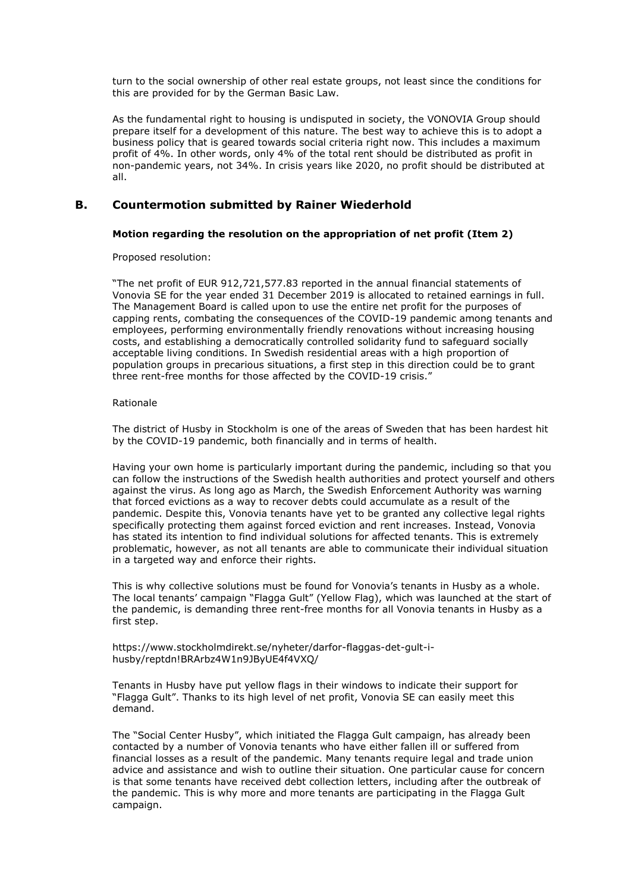turn to the social ownership of other real estate groups, not least since the conditions for this are provided for by the German Basic Law.

As the fundamental right to housing is undisputed in society, the VONOVIA Group should prepare itself for a development of this nature. The best way to achieve this is to adopt a business policy that is geared towards social criteria right now. This includes a maximum profit of 4%. In other words, only 4% of the total rent should be distributed as profit in non-pandemic years, not 34%. In crisis years like 2020, no profit should be distributed at all.

## **B. Countermotion submitted by Rainer Wiederhold**

### **Motion regarding the resolution on the appropriation of net profit (Item 2)**

Proposed resolution:

"The net profit of EUR 912,721,577.83 reported in the annual financial statements of Vonovia SE for the year ended 31 December 2019 is allocated to retained earnings in full. The Management Board is called upon to use the entire net profit for the purposes of capping rents, combating the consequences of the COVID-19 pandemic among tenants and employees, performing environmentally friendly renovations without increasing housing costs, and establishing a democratically controlled solidarity fund to safeguard socially acceptable living conditions. In Swedish residential areas with a high proportion of population groups in precarious situations, a first step in this direction could be to grant three rent-free months for those affected by the COVID-19 crisis."

#### Rationale

The district of Husby in Stockholm is one of the areas of Sweden that has been hardest hit by the COVID-19 pandemic, both financially and in terms of health.

Having your own home is particularly important during the pandemic, including so that you can follow the instructions of the Swedish health authorities and protect yourself and others against the virus. As long ago as March, the Swedish Enforcement Authority was warning that forced evictions as a way to recover debts could accumulate as a result of the pandemic. Despite this, Vonovia tenants have yet to be granted any collective legal rights specifically protecting them against forced eviction and rent increases. Instead, Vonovia has stated its intention to find individual solutions for affected tenants. This is extremely problematic, however, as not all tenants are able to communicate their individual situation in a targeted way and enforce their rights.

This is why collective solutions must be found for Vonovia's tenants in Husby as a whole. The local tenants' campaign "Flagga Gult" (Yellow Flag), which was launched at the start of the pandemic, is demanding three rent-free months for all Vonovia tenants in Husby as a first step.

https://www.stockholmdirekt.se/nyheter/darfor-flaggas-det-gult-ihusby/reptdn!BRArbz4W1n9JByUE4f4VXQ/

Tenants in Husby have put yellow flags in their windows to indicate their support for "Flagga Gult". Thanks to its high level of net profit, Vonovia SE can easily meet this demand.

The "Social Center Husby", which initiated the Flagga Gult campaign, has already been contacted by a number of Vonovia tenants who have either fallen ill or suffered from financial losses as a result of the pandemic. Many tenants require legal and trade union advice and assistance and wish to outline their situation. One particular cause for concern is that some tenants have received debt collection letters, including after the outbreak of the pandemic. This is why more and more tenants are participating in the Flagga Gult campaign.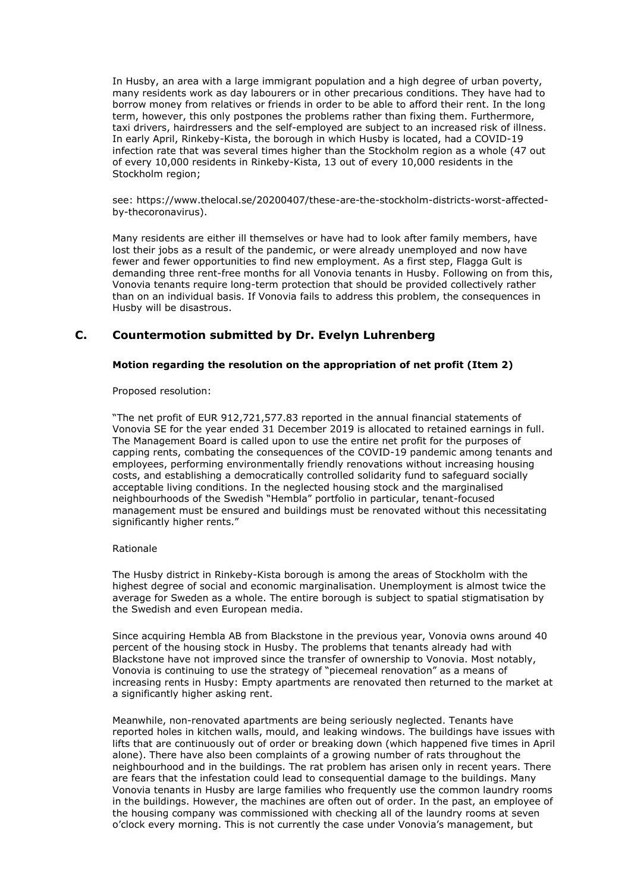In Husby, an area with a large immigrant population and a high degree of urban poverty, many residents work as day labourers or in other precarious conditions. They have had to borrow money from relatives or friends in order to be able to afford their rent. In the long term, however, this only postpones the problems rather than fixing them. Furthermore, taxi drivers, hairdressers and the self-employed are subject to an increased risk of illness. In early April, Rinkeby-Kista, the borough in which Husby is located, had a COVID-19 infection rate that was several times higher than the Stockholm region as a whole (47 out of every 10,000 residents in Rinkeby-Kista, 13 out of every 10,000 residents in the Stockholm region;

see: https://www.thelocal.se/20200407/these-are-the-stockholm-districts-worst-affectedby-thecoronavirus).

Many residents are either ill themselves or have had to look after family members, have lost their jobs as a result of the pandemic, or were already unemployed and now have fewer and fewer opportunities to find new employment. As a first step, Flagga Gult is demanding three rent-free months for all Vonovia tenants in Husby. Following on from this, Vonovia tenants require long-term protection that should be provided collectively rather than on an individual basis. If Vonovia fails to address this problem, the consequences in Husby will be disastrous.

## **C. Countermotion submitted by Dr. Evelyn Luhrenberg**

### **Motion regarding the resolution on the appropriation of net profit (Item 2)**

Proposed resolution:

"The net profit of EUR 912,721,577.83 reported in the annual financial statements of Vonovia SE for the year ended 31 December 2019 is allocated to retained earnings in full. The Management Board is called upon to use the entire net profit for the purposes of capping rents, combating the consequences of the COVID-19 pandemic among tenants and employees, performing environmentally friendly renovations without increasing housing costs, and establishing a democratically controlled solidarity fund to safeguard socially acceptable living conditions. In the neglected housing stock and the marginalised neighbourhoods of the Swedish "Hembla" portfolio in particular, tenant-focused management must be ensured and buildings must be renovated without this necessitating significantly higher rents."

#### Rationale

The Husby district in Rinkeby-Kista borough is among the areas of Stockholm with the highest degree of social and economic marginalisation. Unemployment is almost twice the average for Sweden as a whole. The entire borough is subject to spatial stigmatisation by the Swedish and even European media.

Since acquiring Hembla AB from Blackstone in the previous year, Vonovia owns around 40 percent of the housing stock in Husby. The problems that tenants already had with Blackstone have not improved since the transfer of ownership to Vonovia. Most notably, Vonovia is continuing to use the strategy of "piecemeal renovation" as a means of increasing rents in Husby: Empty apartments are renovated then returned to the market at a significantly higher asking rent.

Meanwhile, non-renovated apartments are being seriously neglected. Tenants have reported holes in kitchen walls, mould, and leaking windows. The buildings have issues with lifts that are continuously out of order or breaking down (which happened five times in April alone). There have also been complaints of a growing number of rats throughout the neighbourhood and in the buildings. The rat problem has arisen only in recent years. There are fears that the infestation could lead to consequential damage to the buildings. Many Vonovia tenants in Husby are large families who frequently use the common laundry rooms in the buildings. However, the machines are often out of order. In the past, an employee of the housing company was commissioned with checking all of the laundry rooms at seven o'clock every morning. This is not currently the case under Vonovia's management, but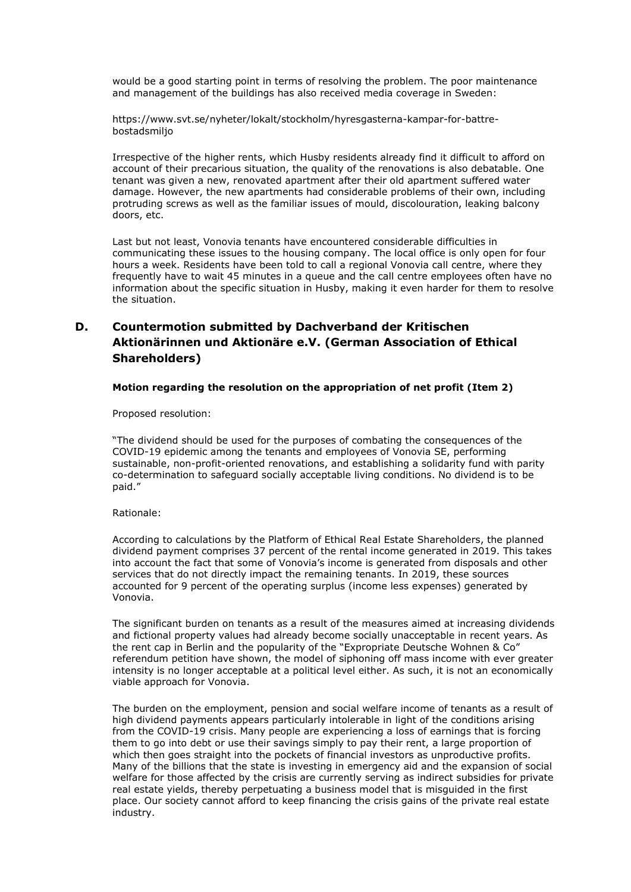would be a good starting point in terms of resolving the problem. The poor maintenance and management of the buildings has also received media coverage in Sweden:

https://www.svt.se/nyheter/lokalt/stockholm/hyresgasterna-kampar-for-battrebostadsmiljo

Irrespective of the higher rents, which Husby residents already find it difficult to afford on account of their precarious situation, the quality of the renovations is also debatable. One tenant was given a new, renovated apartment after their old apartment suffered water damage. However, the new apartments had considerable problems of their own, including protruding screws as well as the familiar issues of mould, discolouration, leaking balcony doors, etc.

Last but not least, Vonovia tenants have encountered considerable difficulties in communicating these issues to the housing company. The local office is only open for four hours a week. Residents have been told to call a regional Vonovia call centre, where they frequently have to wait 45 minutes in a queue and the call centre employees often have no information about the specific situation in Husby, making it even harder for them to resolve the situation.

# **D. Countermotion submitted by Dachverband der Kritischen Aktionärinnen und Aktionäre e.V. (German Association of Ethical Shareholders)**

#### **Motion regarding the resolution on the appropriation of net profit (Item 2)**

Proposed resolution:

"The dividend should be used for the purposes of combating the consequences of the COVID-19 epidemic among the tenants and employees of Vonovia SE, performing sustainable, non-profit-oriented renovations, and establishing a solidarity fund with parity co-determination to safeguard socially acceptable living conditions. No dividend is to be paid."

#### Rationale:

According to calculations by the Platform of Ethical Real Estate Shareholders, the planned dividend payment comprises 37 percent of the rental income generated in 2019. This takes into account the fact that some of Vonovia's income is generated from disposals and other services that do not directly impact the remaining tenants. In 2019, these sources accounted for 9 percent of the operating surplus (income less expenses) generated by Vonovia.

The significant burden on tenants as a result of the measures aimed at increasing dividends and fictional property values had already become socially unacceptable in recent years. As the rent cap in Berlin and the popularity of the "Expropriate Deutsche Wohnen & Co" referendum petition have shown, the model of siphoning off mass income with ever greater intensity is no longer acceptable at a political level either. As such, it is not an economically viable approach for Vonovia.

The burden on the employment, pension and social welfare income of tenants as a result of high dividend payments appears particularly intolerable in light of the conditions arising from the COVID-19 crisis. Many people are experiencing a loss of earnings that is forcing them to go into debt or use their savings simply to pay their rent, a large proportion of which then goes straight into the pockets of financial investors as unproductive profits. Many of the billions that the state is investing in emergency aid and the expansion of social welfare for those affected by the crisis are currently serving as indirect subsidies for private real estate yields, thereby perpetuating a business model that is misguided in the first place. Our society cannot afford to keep financing the crisis gains of the private real estate industry.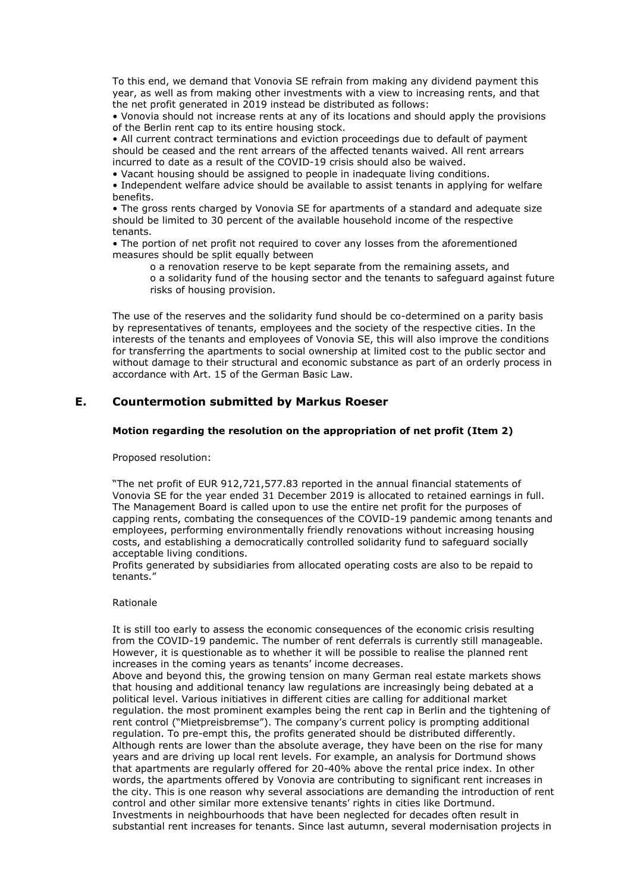To this end, we demand that Vonovia SE refrain from making any dividend payment this year, as well as from making other investments with a view to increasing rents, and that the net profit generated in 2019 instead be distributed as follows:

• Vonovia should not increase rents at any of its locations and should apply the provisions of the Berlin rent cap to its entire housing stock.

• All current contract terminations and eviction proceedings due to default of payment should be ceased and the rent arrears of the affected tenants waived. All rent arrears incurred to date as a result of the COVID-19 crisis should also be waived.

• Vacant housing should be assigned to people in inadequate living conditions.

• Independent welfare advice should be available to assist tenants in applying for welfare benefits.

• The gross rents charged by Vonovia SE for apartments of a standard and adequate size should be limited to 30 percent of the available household income of the respective tenants.

• The portion of net profit not required to cover any losses from the aforementioned measures should be split equally between

o a renovation reserve to be kept separate from the remaining assets, and o a solidarity fund of the housing sector and the tenants to safeguard against future risks of housing provision.

The use of the reserves and the solidarity fund should be co-determined on a parity basis by representatives of tenants, employees and the society of the respective cities. In the interests of the tenants and employees of Vonovia SE, this will also improve the conditions for transferring the apartments to social ownership at limited cost to the public sector and without damage to their structural and economic substance as part of an orderly process in accordance with Art. 15 of the German Basic Law.

## **E. Countermotion submitted by Markus Roeser**

### **Motion regarding the resolution on the appropriation of net profit (Item 2)**

Proposed resolution:

"The net profit of EUR 912,721,577.83 reported in the annual financial statements of Vonovia SE for the year ended 31 December 2019 is allocated to retained earnings in full. The Management Board is called upon to use the entire net profit for the purposes of capping rents, combating the consequences of the COVID-19 pandemic among tenants and employees, performing environmentally friendly renovations without increasing housing costs, and establishing a democratically controlled solidarity fund to safeguard socially acceptable living conditions.

Profits generated by subsidiaries from allocated operating costs are also to be repaid to tenants."

### Rationale

It is still too early to assess the economic consequences of the economic crisis resulting from the COVID-19 pandemic. The number of rent deferrals is currently still manageable. However, it is questionable as to whether it will be possible to realise the planned rent increases in the coming years as tenants' income decreases.

Above and beyond this, the growing tension on many German real estate markets shows that housing and additional tenancy law regulations are increasingly being debated at a political level. Various initiatives in different cities are calling for additional market regulation. the most prominent examples being the rent cap in Berlin and the tightening of rent control ("Mietpreisbremse"). The company's current policy is prompting additional regulation. To pre-empt this, the profits generated should be distributed differently. Although rents are lower than the absolute average, they have been on the rise for many years and are driving up local rent levels. For example, an analysis for Dortmund shows that apartments are regularly offered for 20-40% above the rental price index. In other words, the apartments offered by Vonovia are contributing to significant rent increases in the city. This is one reason why several associations are demanding the introduction of rent control and other similar more extensive tenants' rights in cities like Dortmund. Investments in neighbourhoods that have been neglected for decades often result in substantial rent increases for tenants. Since last autumn, several modernisation projects in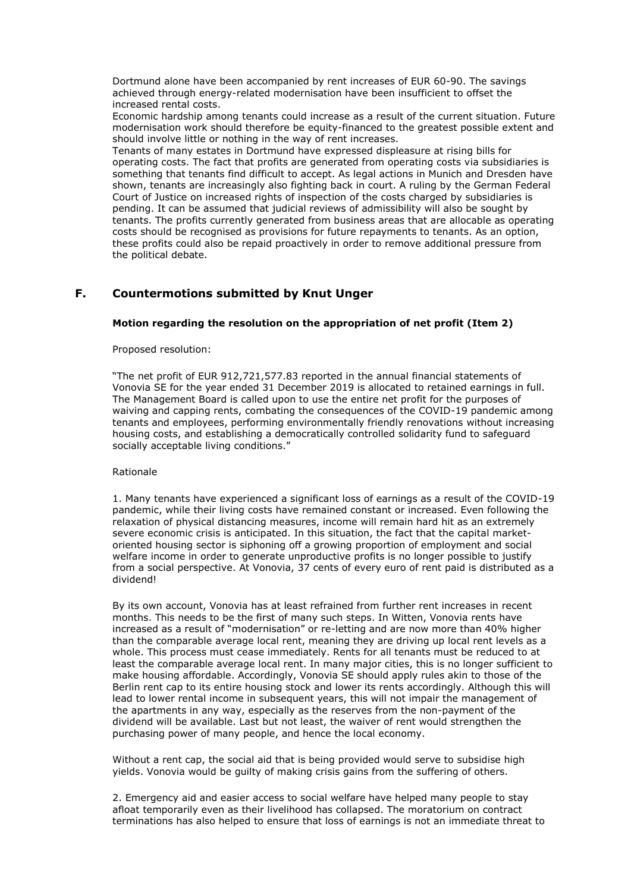Dortmund alone have been accompanied by rent increases of EUR 60-90. The savings achieved through energy-related modernisation have been insufficient to offset the increased rental costs.

Economic hardship among tenants could increase as a result of the current situation. Future modernisation work should therefore be equity-financed to the greatest possible extent and should involve little or nothing in the way of rent increases.

Tenants of many estates in Dortmund have expressed displeasure at rising bills for operating costs. The fact that profits are generated from operating costs via subsidiaries is something that tenants find difficult to accept. As legal actions in Munich and Dresden have shown, tenants are increasingly also fighting back in court. A ruling by the German Federal Court of Justice on increased rights of inspection of the costs charged by subsidiaries is pending. It can be assumed that judicial reviews of admissibility will also be sought by tenants. The profits currently generated from business areas that are allocable as operating costs should be recognised as provisions for future repayments to tenants. As an option, these profits could also be repaid proactively in order to remove additional pressure from the political debate.

# **F. Countermotions submitted by Knut Unger**

### **Motion regarding the resolution on the appropriation of net profit (Item 2)**

Proposed resolution:

"The net profit of EUR 912,721,577.83 reported in the annual financial statements of Vonovia SE for the year ended 31 December 2019 is allocated to retained earnings in full. The Management Board is called upon to use the entire net profit for the purposes of waiving and capping rents, combating the consequences of the COVID-19 pandemic among tenants and employees, performing environmentally friendly renovations without increasing housing costs, and establishing a democratically controlled solidarity fund to safeguard socially acceptable living conditions."

#### Rationale

1. Many tenants have experienced a significant loss of earnings as a result of the COVID-19 pandemic, while their living costs have remained constant or increased. Even following the relaxation of physical distancing measures, income will remain hard hit as an extremely severe economic crisis is anticipated. In this situation, the fact that the capital marketoriented housing sector is siphoning off a growing proportion of employment and social welfare income in order to generate unproductive profits is no longer possible to justify from a social perspective. At Vonovia, 37 cents of every euro of rent paid is distributed as a dividend!

By its own account, Vonovia has at least refrained from further rent increases in recent months. This needs to be the first of many such steps. In Witten, Vonovia rents have increased as a result of "modernisation" or re-letting and are now more than 40% higher than the comparable average local rent, meaning they are driving up local rent levels as a whole. This process must cease immediately. Rents for all tenants must be reduced to at least the comparable average local rent. In many major cities, this is no longer sufficient to make housing affordable. Accordingly, Vonovia SE should apply rules akin to those of the Berlin rent cap to its entire housing stock and lower its rents accordingly. Although this will lead to lower rental income in subsequent years, this will not impair the management of the apartments in any way, especially as the reserves from the non-payment of the dividend will be available. Last but not least, the waiver of rent would strengthen the purchasing power of many people, and hence the local economy.

Without a rent cap, the social aid that is being provided would serve to subsidise high yields. Vonovia would be guilty of making crisis gains from the suffering of others.

2. Emergency aid and easier access to social welfare have helped many people to stay afloat temporarily even as their livelihood has collapsed. The moratorium on contract terminations has also helped to ensure that loss of earnings is not an immediate threat to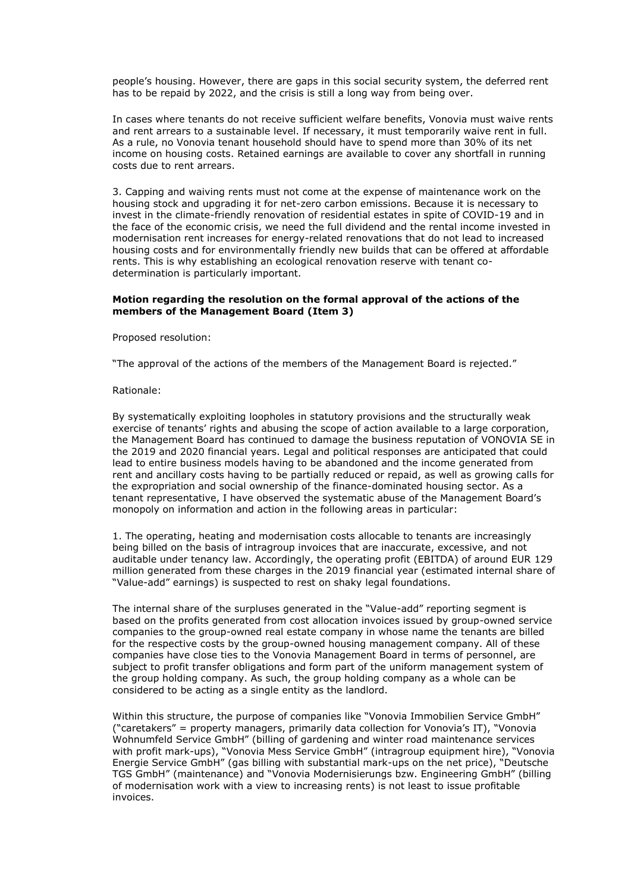people's housing. However, there are gaps in this social security system, the deferred rent has to be repaid by 2022, and the crisis is still a long way from being over.

In cases where tenants do not receive sufficient welfare benefits, Vonovia must waive rents and rent arrears to a sustainable level. If necessary, it must temporarily waive rent in full. As a rule, no Vonovia tenant household should have to spend more than 30% of its net income on housing costs. Retained earnings are available to cover any shortfall in running costs due to rent arrears.

3. Capping and waiving rents must not come at the expense of maintenance work on the housing stock and upgrading it for net-zero carbon emissions. Because it is necessary to invest in the climate-friendly renovation of residential estates in spite of COVID-19 and in the face of the economic crisis, we need the full dividend and the rental income invested in modernisation rent increases for energy-related renovations that do not lead to increased housing costs and for environmentally friendly new builds that can be offered at affordable rents. This is why establishing an ecological renovation reserve with tenant codetermination is particularly important.

#### **Motion regarding the resolution on the formal approval of the actions of the members of the Management Board (Item 3)**

Proposed resolution:

"The approval of the actions of the members of the Management Board is rejected."

#### Rationale:

By systematically exploiting loopholes in statutory provisions and the structurally weak exercise of tenants' rights and abusing the scope of action available to a large corporation, the Management Board has continued to damage the business reputation of VONOVIA SE in the 2019 and 2020 financial years. Legal and political responses are anticipated that could lead to entire business models having to be abandoned and the income generated from rent and ancillary costs having to be partially reduced or repaid, as well as growing calls for the expropriation and social ownership of the finance-dominated housing sector. As a tenant representative, I have observed the systematic abuse of the Management Board's monopoly on information and action in the following areas in particular:

1. The operating, heating and modernisation costs allocable to tenants are increasingly being billed on the basis of intragroup invoices that are inaccurate, excessive, and not auditable under tenancy law. Accordingly, the operating profit (EBITDA) of around EUR 129 million generated from these charges in the 2019 financial year (estimated internal share of "Value-add" earnings) is suspected to rest on shaky legal foundations.

The internal share of the surpluses generated in the "Value-add" reporting segment is based on the profits generated from cost allocation invoices issued by group-owned service companies to the group-owned real estate company in whose name the tenants are billed for the respective costs by the group-owned housing management company. All of these companies have close ties to the Vonovia Management Board in terms of personnel, are subject to profit transfer obligations and form part of the uniform management system of the group holding company. As such, the group holding company as a whole can be considered to be acting as a single entity as the landlord.

Within this structure, the purpose of companies like "Vonovia Immobilien Service GmbH" ("caretakers" = property managers, primarily data collection for Vonovia's IT), "Vonovia Wohnumfeld Service GmbH" (billing of gardening and winter road maintenance services with profit mark-ups), "Vonovia Mess Service GmbH" (intragroup equipment hire), "Vonovia Energie Service GmbH" (gas billing with substantial mark-ups on the net price), "Deutsche TGS GmbH" (maintenance) and "Vonovia Modernisierungs bzw. Engineering GmbH" (billing of modernisation work with a view to increasing rents) is not least to issue profitable invoices.